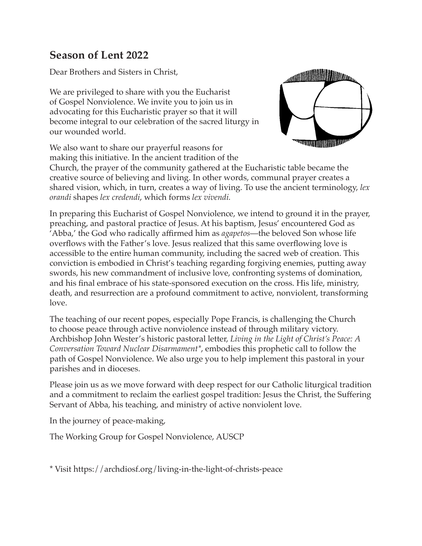# **Season of Lent 2022**

Dear Brothers and Sisters in Christ,

We are privileged to share with you the Eucharist of Gospel Nonviolence. We invite you to join us in advocating for this Eucharistic prayer so that it will become integral to our celebration of the sacred liturgy in our wounded world.

We also want to share our prayerful reasons for making this initiative. In the ancient tradition of the



Church, the prayer of the community gathered at the Eucharistic table became the creative source of believing and living. In other words, communal prayer creates a shared vision, which, in turn, creates a way of living. To use the ancient terminology, *lex orandi* shapes *lex credendi*, which forms *lex vivendi.*

In preparing this Eucharist of Gospel Nonviolence, we intend to ground it in the prayer, preaching, and pastoral practice of Jesus. At his baptism, Jesus' encountered God as 'Abba,' the God who radically affirmed him as *agapetos*—the beloved Son whose life overflows with the Father's love. Jesus realized that this same overflowing love is accessible to the entire human community, including the sacred web of creation. This conviction is embodied in Christ's teaching regarding forgiving enemies, putting away swords, his new commandment of inclusive love, confronting systems of domination, and his final embrace of his state-sponsored execution on the cross. His life, ministry, death, and resurrection are a profound commitment to active, nonviolent, transforming love.

The teaching of our recent popes, especially Pope Francis, is challenging the Church to choose peace through active nonviolence instead of through military victory. Archbishop John Wester's historic pastoral letter, *Living in the Light of Christ's Peace: A Conversation Toward Nuclear Disarmament\**, embodies this prophetic call to follow the path of Gospel Nonviolence. We also urge you to help implement this pastoral in your parishes and in dioceses.

Please join us as we move forward with deep respect for our Catholic liturgical tradition and a commitment to reclaim the earliest gospel tradition: Jesus the Christ, the Suffering Servant of Abba, his teaching, and ministry of active nonviolent love.

In the journey of peace-making,

The Working Group for Gospel Nonviolence, AUSCP

\* Visit https://archdiosf.org/living-in-the-light-of-christs-peace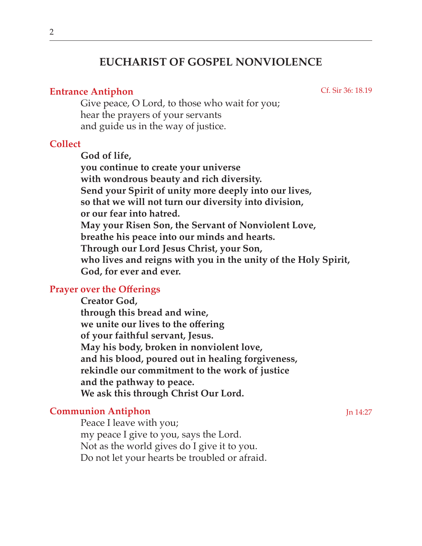# **EUCHARIST OF GOSPEL NONVIOLENCE**

## **Entrance Antiphon**

Cf. Sir 36: 18.19

Give peace, O Lord, to those who wait for you; hear the prayers of your servants and guide us in the way of justice.

## **Collect**

**God of life, you continue to create your universe with wondrous beauty and rich diversity. Send your Spirit of unity more deeply into our lives, so that we will not turn our diversity into division, or our fear into hatred. May your Risen Son, the Servant of Nonviolent Love, breathe his peace into our minds and hearts. Through our Lord Jesus Christ, your Son, who lives and reigns with you in the unity of the Holy Spirit, God, for ever and ever.** 

# **Prayer over the Offerings**

**Creator God, through this bread and wine, we unite our lives to the offering of your faithful servant, Jesus. May his body, broken in nonviolent love, and his blood, poured out in healing forgiveness, rekindle our commitment to the work of justice and the pathway to peace. We ask this through Christ Our Lord.**

# **Communion Antiphon**

Peace I leave with you; my peace I give to you, says the Lord. Not as the world gives do I give it to you. Do not let your hearts be troubled or afraid. Jn 14:27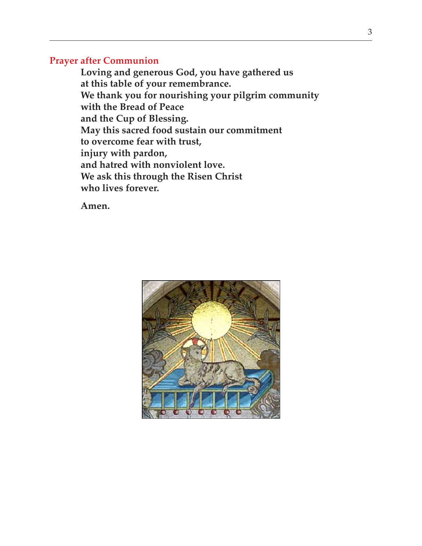### **Prayer after Communion**

**Loving and generous God, you have gathered us at this table of your remembrance. We thank you for nourishing your pilgrim community with the Bread of Peace and the Cup of Blessing. May this sacred food sustain our commitment to overcome fear with trust, injury with pardon, and hatred with nonviolent love. We ask this through the Risen Christ who lives forever.**

**Amen.**

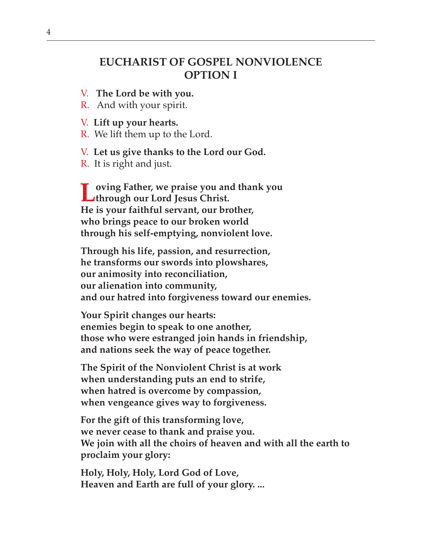# **EUCHARIST OF GOSPEL NONVIOLENCE OPTION I**

- V. **The Lord be with you.**
- R. And with your spirit.
- V. **Lift up your hearts.**
- R.We lift them up to the Lord.
- V. **Let us give thanks to the Lord our God.**
- R. It is right and just.

**Loving Father, we praise you and thank you through our Lord Jesus Christ. He is your faithful servant, our brother, who brings peace to our broken world through his self-emptying, nonviolent love.** 

**Through his life, passion, and resurrection, he transforms our swords into plowshares, our animosity into reconciliation, our alienation into community, and our hatred into forgiveness toward our enemies.** 

**Your Spirit changes our hearts: enemies begin to speak to one another, those who were estranged join hands in friendship, and nations seek the way of peace together.** 

**The Spirit of the Nonviolent Christ is at work when understanding puts an end to strife, when hatred is overcome by compassion, when vengeance gives way to forgiveness.** 

**For the gift of this transforming love, we never cease to thank and praise you. We join with all the choirs of heaven and with all the earth to proclaim your glory:** 

**Holy, Holy, Holy, Lord God of Love, Heaven and Earth are full of your glory. ...**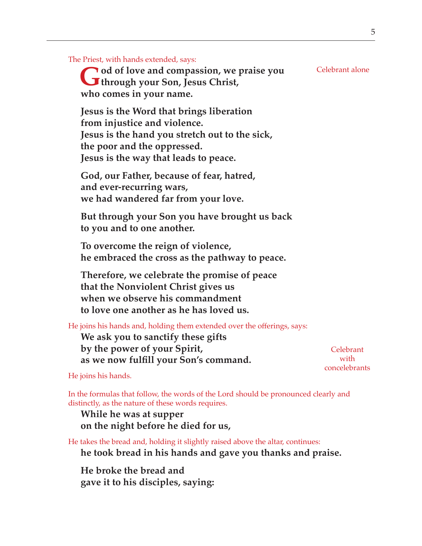The Priest, with hands extended, says:

**God of love and compassion, we praise you through your Son, Jesus Christ, who comes in your name.**

**Jesus is the Word that brings liberation from injustice and violence. Jesus is the hand you stretch out to the sick, the poor and the oppressed. Jesus is the way that leads to peace.** 

**God, our Father, because of fear, hatred, and ever-recurring wars, we had wandered far from your love.** 

**But through your Son you have brought us back to you and to one another.** 

**To overcome the reign of violence, he embraced the cross as the pathway to peace.**

**Therefore, we celebrate the promise of peace that the Nonviolent Christ gives us when we observe his commandment to love one another as he has loved us.**

He joins his hands and, holding them extended over the offerings, says:

**We ask you to sanctify these gifts by the power of your Spirit, as we now fulfill your Son's command.**

Celebrant with concelebrants

He joins his hands.

In the formulas that follow, the words of the Lord should be pronounced clearly and distinctly, as the nature of these words requires.

**While he was at supper on the night before he died for us,**

He takes the bread and, holding it slightly raised above the altar, continues: **he took bread in his hands and gave you thanks and praise.**

**He broke the bread and gave it to his disciples, saying:** Celebrant alone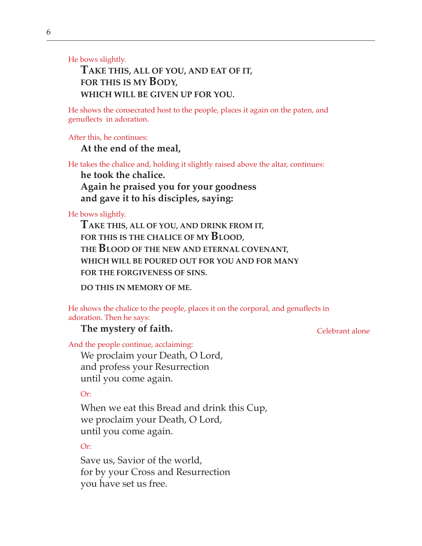He bows slightly.

# **TAKE THIS, ALL OF YOU, AND EAT OF IT, FOR THIS IS MY BODY, WHICH WILL BE GIVEN UP FOR YOU.**

He shows the consecrated host to the people, places it again on the paten, and genuflects in adoration.

After this, he continues:

**At the end of the meal,**

He takes the chalice and, holding it slightly raised above the altar, continues:

**he took the chalice. Again he praised you for your goodness and gave it to his disciples, saying:**

He bows slightly.

**TAKE THIS, ALL OF YOU, AND DRINK FROM IT, FOR THIS IS THE CHALICE OF MY BLOOD, THE BLOOD OF THE NEW AND ETERNAL COVENANT, WHICH WILL BE POURED OUT FOR YOU AND FOR MANY FOR THE FORGIVENESS OF SINS.**

**DO THIS IN MEMORY OF ME.**

He shows the chalice to the people, places it on the corporal, and genuflects in adoration. Then he says:

#### **The mystery of faith.**

Celebrant alone

And the people continue, acclaiming:

We proclaim your Death, O Lord, and profess your Resurrection until you come again.

Or:

When we eat this Bread and drink this Cup, we proclaim your Death, O Lord, until you come again.

Or:

Save us, Savior of the world, for by your Cross and Resurrection you have set us free.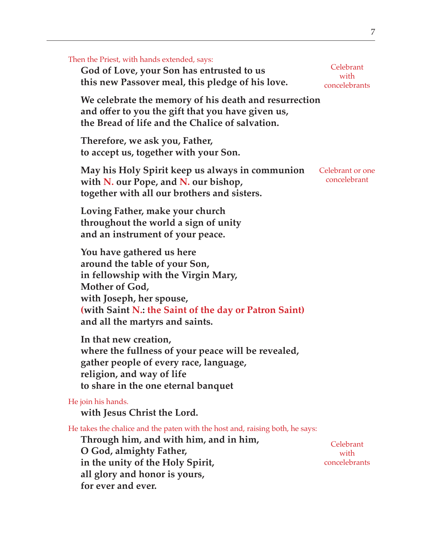| Then the Priest, with hands extended, says:<br>God of Love, your Son has entrusted to us<br>this new Passover meal, this pledge of his love.                                                                                                 | Celebrant<br>with<br>concelebrants |
|----------------------------------------------------------------------------------------------------------------------------------------------------------------------------------------------------------------------------------------------|------------------------------------|
| We celebrate the memory of his death and resurrection<br>and offer to you the gift that you have given us,<br>the Bread of life and the Chalice of salvation.                                                                                |                                    |
| Therefore, we ask you, Father,<br>to accept us, together with your Son.                                                                                                                                                                      |                                    |
| May his Holy Spirit keep us always in communion<br>with N. our Pope, and N. our bishop,<br>together with all our brothers and sisters.                                                                                                       | Celebrant or one<br>concelebrant   |
| Loving Father, make your church<br>throughout the world a sign of unity<br>and an instrument of your peace.                                                                                                                                  |                                    |
| You have gathered us here<br>around the table of your Son,<br>in fellowship with the Virgin Mary,<br>Mother of God,<br>with Joseph, her spouse,<br>(with Saint N.: the Saint of the day or Patron Saint)<br>and all the martyrs and saints.  |                                    |
| In that new creation,<br>where the fullness of your peace will be revealed,<br>gather people of every race, language,<br>religion, and way of life<br>to share in the one eternal banquet                                                    |                                    |
| He join his hands.<br>with Jesus Christ the Lord.                                                                                                                                                                                            |                                    |
| He takes the chalice and the paten with the host and, raising both, he says:<br>Through him, and with him, and in him,<br>O God, almighty Father,<br>in the unity of the Holy Spirit,<br>all glory and honor is yours,<br>for ever and ever. | Celebrant<br>with<br>concelebrants |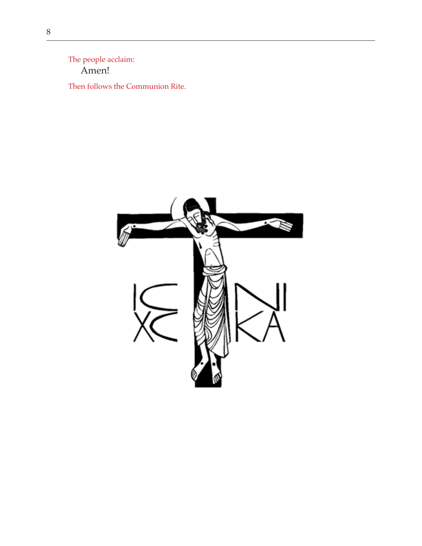The people acclaim: Amen!

Then follows the Communion Rite.

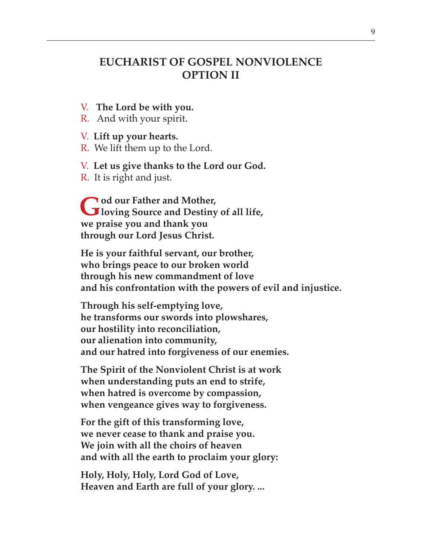# **EUCHARIST OF GOSPEL NONVIOLENCE OPTION II**

V. **The Lord be with you.**

R. And with your spirit.

V. **Lift up your hearts.**

R.We lift them up to the Lord.

V. **Let us give thanks to the Lord our God.**

R. It is right and just.

**God our Father and Mother, loving Source and Destiny of all life, we praise you and thank you through our Lord Jesus Christ.**

**He is your faithful servant, our brother, who brings peace to our broken world through his new commandment of love and his confrontation with the powers of evil and injustice.**

**Through his self-emptying love, he transforms our swords into plowshares, our hostility into reconciliation, our alienation into community, and our hatred into forgiveness of our enemies.**

**The Spirit of the Nonviolent Christ is at work when understanding puts an end to strife, when hatred is overcome by compassion, when vengeance gives way to forgiveness.** 

**For the gift of this transforming love, we never cease to thank and praise you. We join with all the choirs of heaven and with all the earth to proclaim your glory:** 

**Holy, Holy, Holy, Lord God of Love, Heaven and Earth are full of your glory. ...**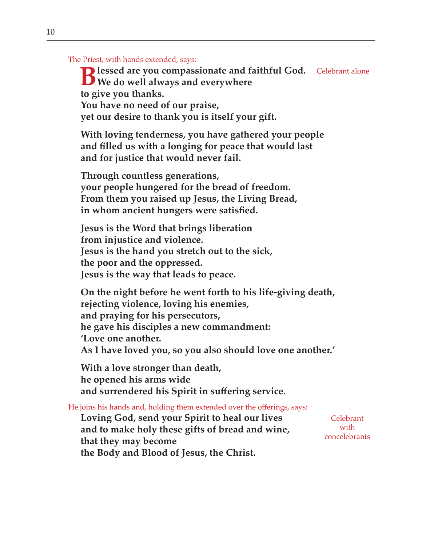The Priest, with hands extended, says:

**Blessed are you compassionate and faithful God.** Celebrant alone<br>
We do well always and everywhere **We do well always and everywhere to give you thanks. You have no need of our praise, yet our desire to thank you is itself your gift.**

**With loving tenderness, you have gathered your people and filled us with a longing for peace that would last and for justice that would never fail.**

**Through countless generations, your people hungered for the bread of freedom. From them you raised up Jesus, the Living Bread, in whom ancient hungers were satisfied.**

**Jesus is the Word that brings liberation from injustice and violence. Jesus is the hand you stretch out to the sick, the poor and the oppressed. Jesus is the way that leads to peace.**

**On the night before he went forth to his life-giving death, rejecting violence, loving his enemies, and praying for his persecutors, he gave his disciples a new commandment: 'Love one another. As I have loved you, so you also should love one another.'** 

**With a love stronger than death, he opened his arms wide and surrendered his Spirit in suffering service.**

He joins his hands and, holding them extended over the offerings, says:

**Loving God, send your Spirit to heal our lives and to make holy these gifts of bread and wine, that they may become the Body and Blood of Jesus, the Christ.**

Celebrant with concelebrants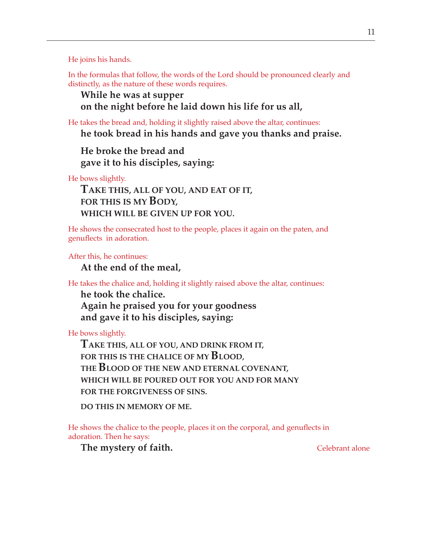He joins his hands.

In the formulas that follow, the words of the Lord should be pronounced clearly and distinctly, as the nature of these words requires.

## **While he was at supper on the night before he laid down his life for us all,**

He takes the bread and, holding it slightly raised above the altar, continues: **he took bread in his hands and gave you thanks and praise.**

**He broke the bread and gave it to his disciples, saying:**

He bows slightly.

**TAKE THIS, ALL OF YOU, AND EAT OF IT, FOR THIS IS MY BODY, WHICH WILL BE GIVEN UP FOR YOU.**

He shows the consecrated host to the people, places it again on the paten, and genuflects in adoration.

After this, he continues:

**At the end of the meal,**

He takes the chalice and, holding it slightly raised above the altar, continues:

**he took the chalice. Again he praised you for your goodness and gave it to his disciples, saying:**

He bows slightly.

**TAKE THIS, ALL OF YOU, AND DRINK FROM IT, FOR THIS IS THE CHALICE OF MY BLOOD, THE BLOOD OF THE NEW AND ETERNAL COVENANT, WHICH WILL BE POURED OUT FOR YOU AND FOR MANY FOR THE FORGIVENESS OF SINS.**

**DO THIS IN MEMORY OF ME.**

He shows the chalice to the people, places it on the corporal, and genuflects in adoration. Then he says:

**The mystery of faith.** Celebrant alone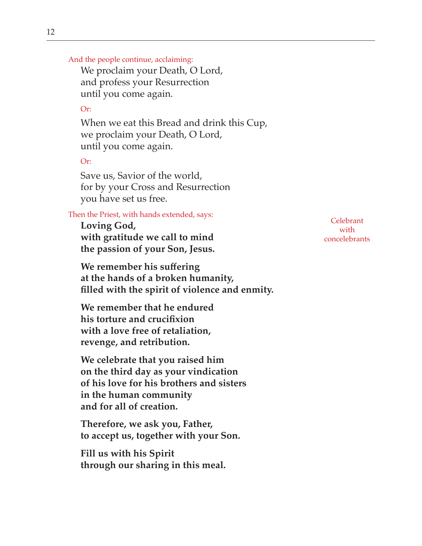And the people continue, acclaiming:

We proclaim your Death, O Lord, and profess your Resurrection until you come again.

### Or:

When we eat this Bread and drink this Cup, we proclaim your Death, O Lord, until you come again.

### Or:

Save us, Savior of the world, for by your Cross and Resurrection you have set us free.

### Then the Priest, with hands extended, says:

**Loving God, with gratitude we call to mind the passion of your Son, Jesus.**

**We remember his suffering at the hands of a broken humanity, filled with the spirit of violence and enmity.**

**We remember that he endured his torture and crucifixion with a love free of retaliation, revenge, and retribution.**

**We celebrate that you raised him on the third day as your vindication of his love for his brothers and sisters in the human community and for all of creation.** 

**Therefore, we ask you, Father, to accept us, together with your Son.**

**Fill us with his Spirit through our sharing in this meal.**

Celebrant with concelebrants